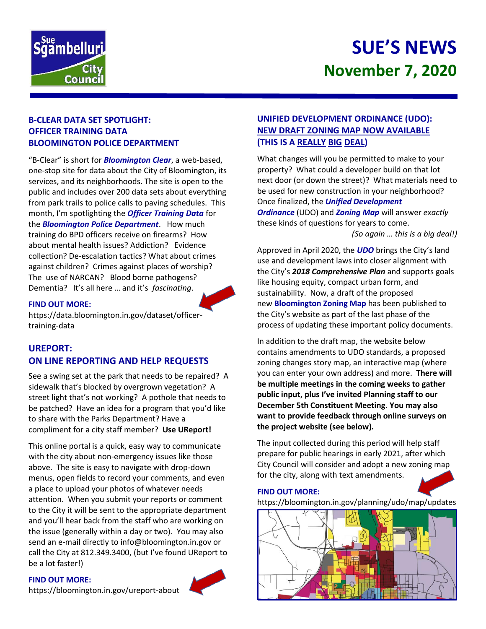

# **SUE'S NEWS November 7, 2020**

## **B-CLEAR DATA SET SPOTLIGHT: OFFICER TRAINING DATA BLOOMINGTON POLICE DEPARTMENT**

"B-Clear" is short for *Bloomington Clear*, a web-based, one-stop site for data about the City of Bloomington, its services, and its neighborhoods. The site is open to the public and includes over 200 data sets about everything from park trails to police calls to paving schedules. This month, I'm spotlighting the *Officer Training Data* for the *Bloomington Police Department*. How much training do BPD officers receive on firearms? How about mental health issues? Addiction? Evidence collection? De-escalation tactics? What about crimes against children? Crimes against places of worship? The use of NARCAN? Blood borne pathogens? Dementia? It's all here … and it's *fascinating*.

#### **FIND OUT MORE:**

https://data.bloomington.in.gov/dataset/officertraining-data

# **UREPORT: ON LINE REPORTING AND HELP REQUESTS**

See a swing set at the park that needs to be repaired? A sidewalk that's blocked by overgrown vegetation? A street light that's not working? A pothole that needs to be patched? Have an idea for a program that you'd like to share with the Parks Department? Have a compliment for a city staff member? **Use UReport!**

This online portal is a quick, easy way to communicate with the city about non-emergency issues like those above. The site is easy to navigate with drop-down menus, open fields to record your comments, and even a place to upload your photos of whatever needs attention. When you submit your reports or comment to the City it will be sent to the appropriate department and you'll hear back from the staff who are working on the issue (generally within a day or two). You may also send an e-mail directly to info@bloomington.in.gov or call the City at 812.349.3400, (but I've found UReport to be a lot faster!)

#### **FIND OUT MORE:**

<https://bloomington.in.gov/ureport-about>

## **UNIFIED DEVELOPMENT ORDINANCE (UDO): NEW DRAFT ZONING MAP NOW AVAILABLE (THIS IS A REALLY BIG DEAL)**

What changes will you be permitted to make to your property? What could a developer build on that lot next door (or down the street)? What materials need to be used for new construction in your neighborhood? Once finalized, the *Unified Development Ordinance* (UDO) and *Zoning Map* will answer *exactly* these kinds of questions for years to come. *(So again … this is a big deal!)*

Approved in April 2020, the *UDO* brings the City's land use and development laws into closer alignment with the City's *2018 Comprehensive Plan* and supports goals like housing equity, compact urban form, and sustainability. Now, a draft of the proposed new **Bloomington Zoning Map** has been published to the City's website as part of the last phase of the process of updating these important policy documents.

In addition to the draft map, the website below contains amendments to UDO standards, a proposed zoning changes story map, an interactive map (where you can enter your own address) and more. **There will be multiple meetings in the coming weeks to gather public input, plus I've invited Planning staff to our December 5th Constituent Meeting. You may also want to provide feedback through online surveys on the project website (see below).**

The input collected during this period will help staff prepare for public hearings in early 2021, after which City Council will consider and adopt a new zoning map for the city, along with text amendments.

#### **FIND OUT MORE:**

https://bloomington.in.gov/planning/udo/map/updates